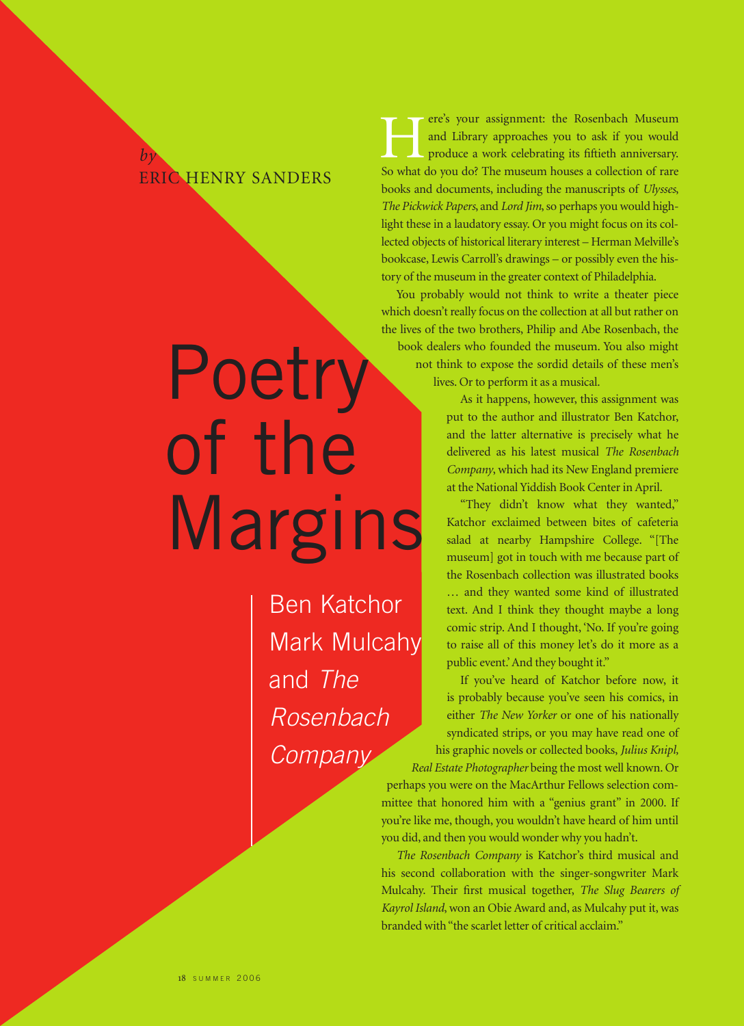## ERIC HENRY SANDERS

*by*

## Poetry of the Margins

Ben Katchor Mark Mulcahy and The Rosenbach **Company** 

ere's your assignment: the Rosenbach Museum and Library approaches you to ask if you would produce a work celebrating its fiftieth anniversary. Fig. 2 and Library approaches you to ask if you would produce a work celebrating its fiftieth anniversary.<br>So what do you do? The museum houses a collection of rare books and documents, including the manuscripts of *Ulysses*, *The Pickwick Papers*, and *Lord Jim*, so perhaps you would highlight these in a laudatory essay. Or you might focus on its collected objects of historical literary interest – Herman Melville's bookcase, Lewis Carroll's drawings – or possibly even the history of the museum in the greater context of Philadelphia.

You probably would not think to write a theater piece which doesn't really focus on the collection at all but rather on the lives of the two brothers, Philip and Abe Rosenbach, the book dealers who founded the museum. You also might not think to expose the sordid details of these men's lives. Or to perform it as a musical.

> As it happens, however, this assignment was put to the author and illustrator Ben Katchor, and the latter alternative is precisely what he delivered as his latest musical *The Rosenbach Company*, which had its New England premiere at the National Yiddish Book Center in April.

"They didn't know what they wanted," Katchor exclaimed between bites of cafeteria salad at nearby Hampshire College. "[The museum] got in touch with me because part of the Rosenbach collection was illustrated books … and they wanted some kind of illustrated text. And I think they thought maybe a long comic strip. And I thought, 'No. If you're going to raise all of this money let's do it more as a public event.' And they bought it."

If you've heard of Katchor before now, it is probably because you've seen his comics, in either *The New Yorker* or one of his nationally syndicated strips, or you may have read one of his graphic novels or collected books, *Julius Knipl,*

*Real Estate Photographer* being the most well known. Or perhaps you were on the MacArthur Fellows selection committee that honored him with a "genius grant" in 2000. If you're like me, though, you wouldn't have heard of him until you did, and then you would wonder why you hadn't.

*The Rosenbach Company* is Katchor's third musical and his second collaboration with the singer-songwriter Mark Mulcahy. Their first musical together, *The Slug Bearers of Kayrol Island*, won an Obie Award and, as Mulcahy put it, was branded with "the scarlet letter of critical acclaim."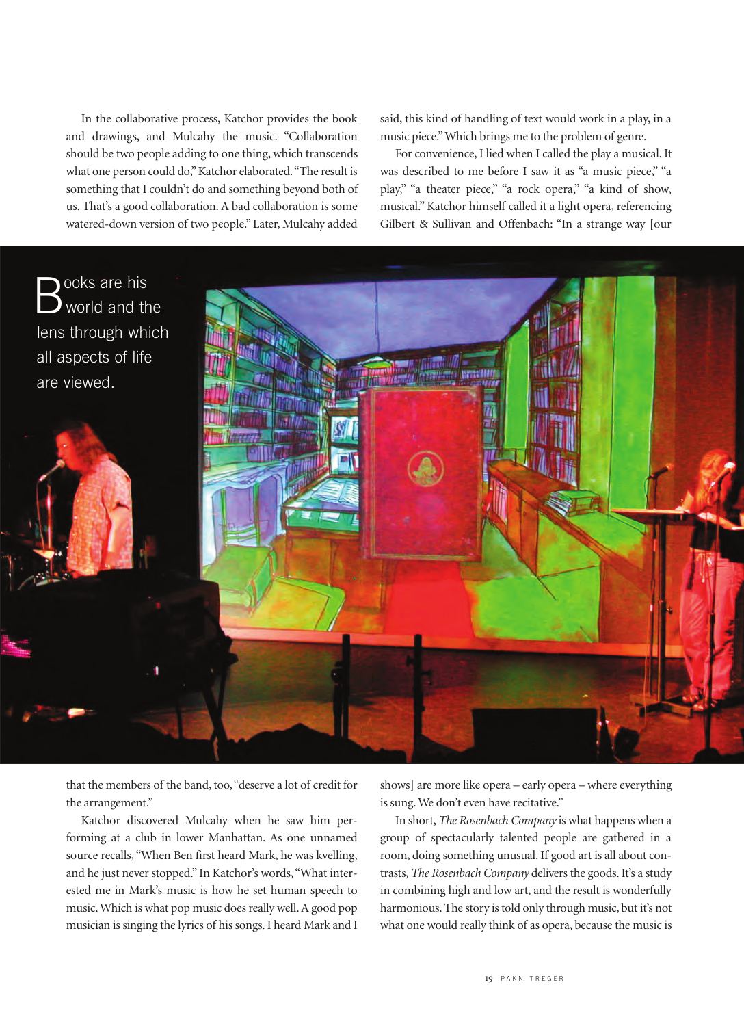In the collaborative process, Katchor provides the book and drawings, and Mulcahy the music. "Collaboration should be two people adding to one thing, which transcends what one person could do,"Katchor elaborated."The result is something that I couldn't do and something beyond both of us. That's a good collaboration. A bad collaboration is some watered-down version of two people." Later, Mulcahy added

said, this kind of handling of text would work in a play, in a music piece."Which brings me to the problem of genre.

For convenience, I lied when I called the play a musical. It was described to me before I saw it as "a music piece," "a play," "a theater piece," "a rock opera," "a kind of show, musical." Katchor himself called it a light opera, referencing Gilbert & Sullivan and Offenbach: "In a strange way [our



that the members of the band, too,"deserve a lot of credit for the arrangement."

Katchor discovered Mulcahy when he saw him performing at a club in lower Manhattan. As one unnamed source recalls, "When Ben first heard Mark, he was kvelling, and he just never stopped." In Katchor's words,"What interested me in Mark's music is how he set human speech to music. Which is what pop music does really well. A good pop musician is singing the lyrics of his songs. I heard Mark and I shows] are more like opera – early opera – where everything is sung. We don't even have recitative."

In short, *The Rosenbach Company* is what happens when a group of spectacularly talented people are gathered in a room, doing something unusual. If good art is all about contrasts, *The Rosenbach Company* delivers the goods. It's a study in combining high and low art, and the result is wonderfully harmonious. The story is told only through music, but it's not what one would really think of as opera, because the music is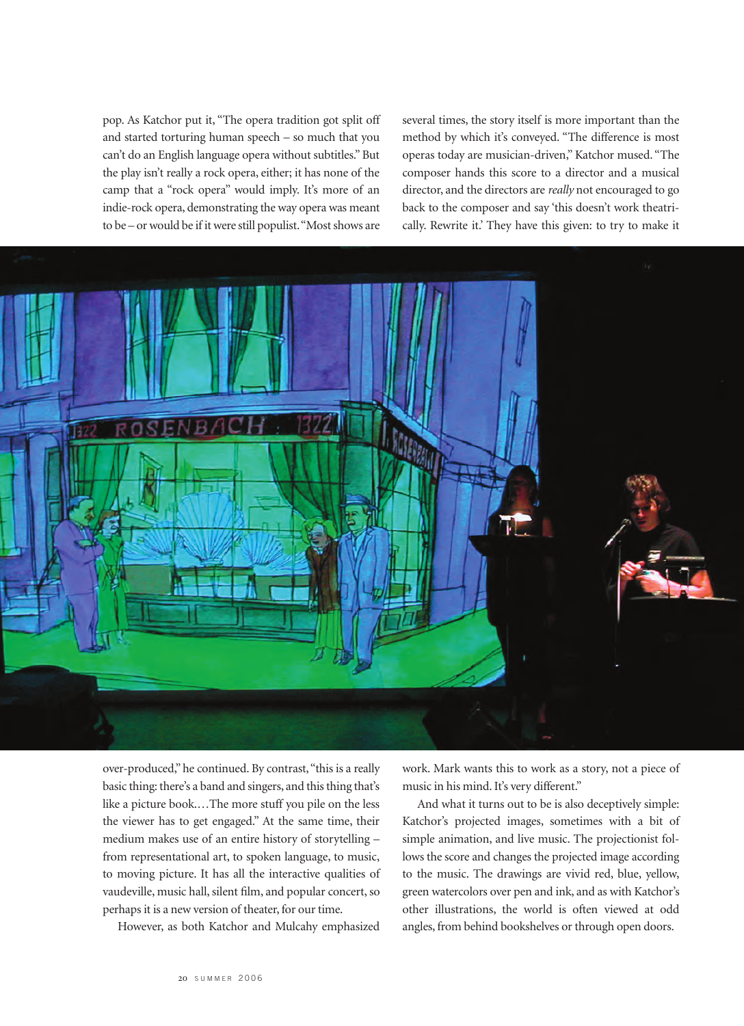pop. As Katchor put it, "The opera tradition got split off and started torturing human speech – so much that you can't do an English language opera without subtitles." But the play isn't really a rock opera, either; it has none of the camp that a "rock opera" would imply. It's more of an indie-rock opera, demonstrating the way opera was meant to be – or would be if it were still populist."Most shows are several times, the story itself is more important than the method by which it's conveyed. "The difference is most operas today are musician-driven," Katchor mused. "The composer hands this score to a director and a musical director, and the directors are *really* not encouraged to go back to the composer and say 'this doesn't work theatrically. Rewrite it.' They have this given: to try to make it



over-produced," he continued. By contrast,"this is a really basic thing: there's a band and singers, and this thing that's like a picture book.…The more stuff you pile on the less the viewer has to get engaged." At the same time, their medium makes use of an entire history of storytelling – from representational art, to spoken language, to music, to moving picture. It has all the interactive qualities of vaudeville, music hall, silent film, and popular concert, so perhaps it is a new version of theater, for our time.

However, as both Katchor and Mulcahy emphasized

work. Mark wants this to work as a story, not a piece of music in his mind. It's very different."

And what it turns out to be is also deceptively simple: Katchor's projected images, sometimes with a bit of simple animation, and live music. The projectionist follows the score and changes the projected image according to the music. The drawings are vivid red, blue, yellow, green watercolors over pen and ink, and as with Katchor's other illustrations, the world is often viewed at odd angles, from behind bookshelves or through open doors.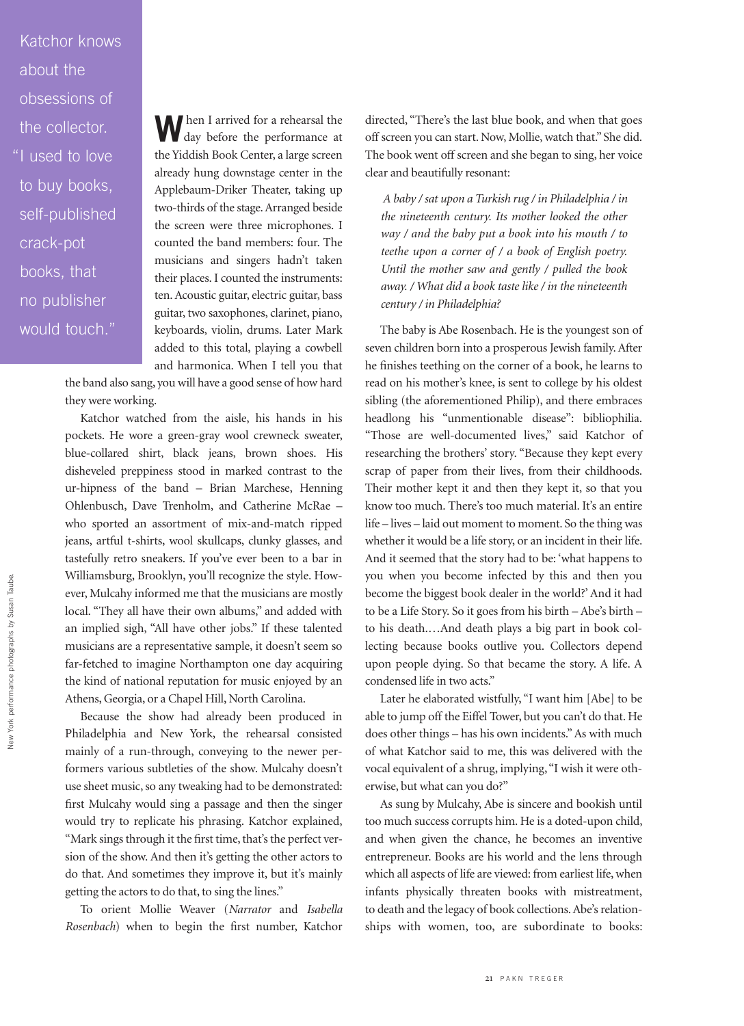Katchor knows about the obsessions of the collector. "I used to love to buy books, self-published crack-pot books, that no publisher would touch."

**W** hen I arrived for a rehearsal the day before the performance at day before the performance at the Yiddish Book Center, a large screen already hung downstage center in the Applebaum-Driker Theater, taking up two-thirds of the stage. Arranged beside the screen were three microphones. I counted the band members: four. The musicians and singers hadn't taken their places. I counted the instruments: ten. Acoustic guitar, electric guitar, bass guitar, two saxophones, clarinet, piano, keyboards, violin, drums. Later Mark added to this total, playing a cowbell and harmonica. When I tell you that

the band also sang, you will have a good sense of how hard they were working.

Katchor watched from the aisle, his hands in his pockets. He wore a green-gray wool crewneck sweater, blue-collared shirt, black jeans, brown shoes. His disheveled preppiness stood in marked contrast to the ur-hipness of the band – Brian Marchese, Henning Ohlenbusch, Dave Trenholm, and Catherine McRae – who sported an assortment of mix-and-match ripped jeans, artful t-shirts, wool skullcaps, clunky glasses, and tastefully retro sneakers. If you've ever been to a bar in Williamsburg, Brooklyn, you'll recognize the style. However, Mulcahy informed me that the musicians are mostly local. "They all have their own albums," and added with an implied sigh, "All have other jobs." If these talented musicians are a representative sample, it doesn't seem so far-fetched to imagine Northampton one day acquiring the kind of national reputation for music enjoyed by an Athens, Georgia, or a Chapel Hill, North Carolina.

Because the show had already been produced in Philadelphia and New York, the rehearsal consisted mainly of a run-through, conveying to the newer performers various subtleties of the show. Mulcahy doesn't use sheet music, so any tweaking had to be demonstrated: first Mulcahy would sing a passage and then the singer would try to replicate his phrasing. Katchor explained, "Mark sings through it the first time, that's the perfect version of the show. And then it's getting the other actors to do that. And sometimes they improve it, but it's mainly getting the actors to do that, to sing the lines."

To orient Mollie Weaver (*Narrator* and *Isabella Rosenbach*) when to begin the first number, Katchor

directed, "There's the last blue book, and when that goes off screen you can start. Now, Mollie, watch that." She did. The book went off screen and she began to sing, her voice clear and beautifully resonant:

*A baby / sat upon a Turkish rug / in Philadelphia / in the nineteenth century. Its mother looked the other way / and the baby put a book into his mouth / to teethe upon a corner of / a book of English poetry. Until the mother saw and gently / pulled the book away. / What did a book taste like / in the nineteenth century / in Philadelphia?*

The baby is Abe Rosenbach. He is the youngest son of seven children born into a prosperous Jewish family. After he finishes teething on the corner of a book, he learns to read on his mother's knee, is sent to college by his oldest sibling (the aforementioned Philip), and there embraces headlong his "unmentionable disease": bibliophilia. "Those are well-documented lives," said Katchor of researching the brothers' story. "Because they kept every scrap of paper from their lives, from their childhoods. Their mother kept it and then they kept it, so that you know too much. There's too much material. It's an entire life – lives – laid out moment to moment. So the thing was whether it would be a life story, or an incident in their life. And it seemed that the story had to be: 'what happens to you when you become infected by this and then you become the biggest book dealer in the world?' And it had to be a Life Story. So it goes from his birth – Abe's birth – to his death.…And death plays a big part in book collecting because books outlive you. Collectors depend upon people dying. So that became the story. A life. A condensed life in two acts."

Later he elaborated wistfully, "I want him [Abe] to be able to jump off the Eiffel Tower, but you can't do that. He does other things – has his own incidents." As with much of what Katchor said to me, this was delivered with the vocal equivalent of a shrug, implying,"I wish it were otherwise, but what can you do?"

As sung by Mulcahy, Abe is sincere and bookish until too much success corrupts him. He is a doted-upon child, and when given the chance, he becomes an inventive entrepreneur. Books are his world and the lens through which all aspects of life are viewed: from earliest life, when infants physically threaten books with mistreatment, to death and the legacy of book collections. Abe's relationships with women, too, are subordinate to books: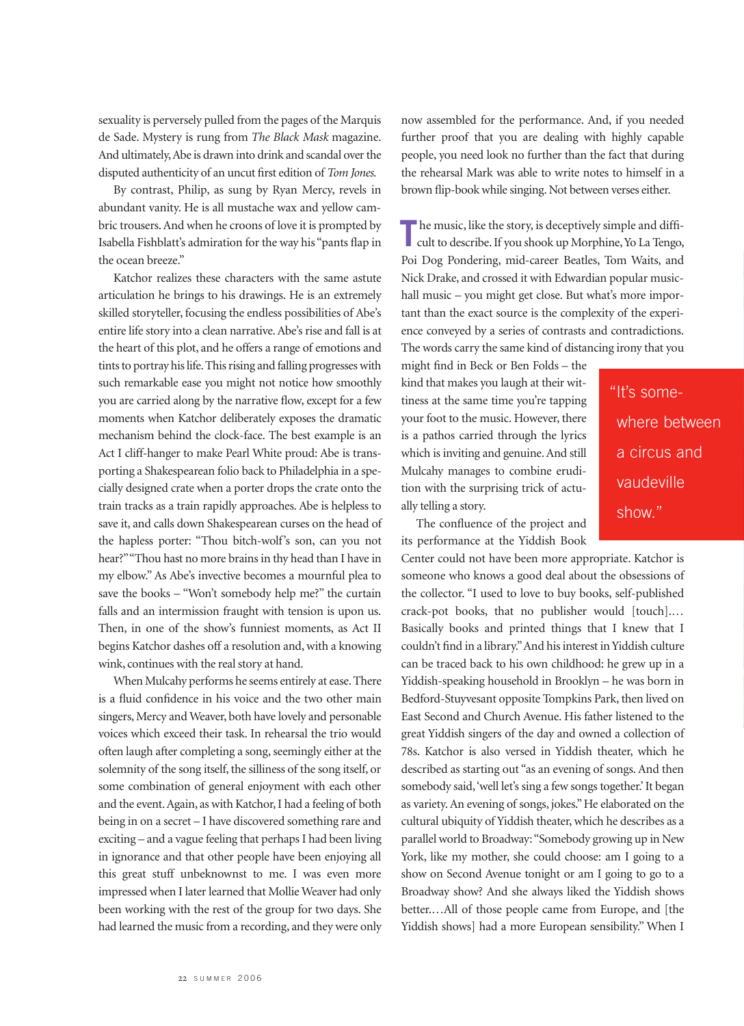sexuality is perversely pulled from the pages of the Marquis de Sade. Mystery is rung from *The Black Mask* magazine. And ultimately,Abe is drawn into drink and scandal over the disputed authenticity of an uncut first edition of *Tom Jones*.

By contrast, Philip, as sung by Ryan Mercy, revels in abundant vanity. He is all mustache wax and yellow cambric trousers. And when he croons of love it is prompted by Isabella Fishblatt's admiration for the way his "pants flap in the ocean breeze."

Katchor realizes these characters with the same astute articulation he brings to his drawings. He is an extremely skilled storyteller, focusing the endless possibilities of Abe's entire life story into a clean narrative. Abe's rise and fall is at the heart of this plot, and he offers a range of emotions and tints to portray his life. This rising and falling progresses with such remarkable ease you might not notice how smoothly you are carried along by the narrative flow, except for a few moments when Katchor deliberately exposes the dramatic mechanism behind the clock-face. The best example is an Act I cliff-hanger to make Pearl White proud: Abe is transporting a Shakespearean folio back to Philadelphia in a specially designed crate when a porter drops the crate onto the train tracks as a train rapidly approaches. Abe is helpless to save it, and calls down Shakespearean curses on the head of the hapless porter: "Thou bitch-wolf's son, can you not hear?""Thou hast no more brains in thy head than I have in my elbow." As Abe's invective becomes a mournful plea to save the books – "Won't somebody help me?" the curtain falls and an intermission fraught with tension is upon us. Then, in one of the show's funniest moments, as Act II begins Katchor dashes off a resolution and, with a knowing wink, continues with the real story at hand.

When Mulcahy performs he seems entirely at ease. There is a fluid confidence in his voice and the two other main singers, Mercy and Weaver, both have lovely and personable voices which exceed their task. In rehearsal the trio would often laugh after completing a song, seemingly either at the solemnity of the song itself, the silliness of the song itself, or some combination of general enjoyment with each other and the event. Again, as with Katchor, I had a feeling of both being in on a secret – I have discovered something rare and exciting – and a vague feeling that perhaps I had been living in ignorance and that other people have been enjoying all this great stuff unbeknownst to me. I was even more impressed when I later learned that Mollie Weaver had only been working with the rest of the group for two days. She had learned the music from a recording, and they were only

now assembled for the performance. And, if you needed further proof that you are dealing with highly capable people, you need look no further than the fact that during the rehearsal Mark was able to write notes to himself in a brown flip-book while singing. Not between verses either.

**The music, like the story, is deceptively simple and difficult to describe. If you shook up Morphine, Yo La Tengo,** cult to describe. If you shook up Morphine, Yo La Tengo, Poi Dog Pondering, mid-career Beatles, Tom Waits, and Nick Drake, and crossed it with Edwardian popular musichall music – you might get close. But what's more important than the exact source is the complexity of the experience conveyed by a series of contrasts and contradictions. The words carry the same kind of distancing irony that you

might find in Beck or Ben Folds – the kind that makes you laugh at their wittiness at the same time you're tapping your foot to the music. However, there is a pathos carried through the lyrics which is inviting and genuine. And still Mulcahy manages to combine erudition with the surprising trick of actually telling a story.

"It's somewhere between a circus and vaudeville show."

The confluence of the project and its performance at the Yiddish Book

Center could not have been more appropriate. Katchor is someone who knows a good deal about the obsessions of the collector. "I used to love to buy books, self-published crack-pot books, that no publisher would [touch].… Basically books and printed things that I knew that I couldn't find in a library."And his interest in Yiddish culture can be traced back to his own childhood: he grew up in a Yiddish-speaking household in Brooklyn – he was born in Bedford-Stuyvesant opposite Tompkins Park, then lived on East Second and Church Avenue. His father listened to the great Yiddish singers of the day and owned a collection of 78s. Katchor is also versed in Yiddish theater, which he described as starting out "as an evening of songs. And then somebody said,'well let's sing a few songs together.' It began as variety. An evening of songs, jokes." He elaborated on the cultural ubiquity of Yiddish theater, which he describes as a parallel world to Broadway:"Somebody growing up in New York, like my mother, she could choose: am I going to a show on Second Avenue tonight or am I going to go to a Broadway show? And she always liked the Yiddish shows better.…All of those people came from Europe, and [the Yiddish shows] had a more European sensibility." When I